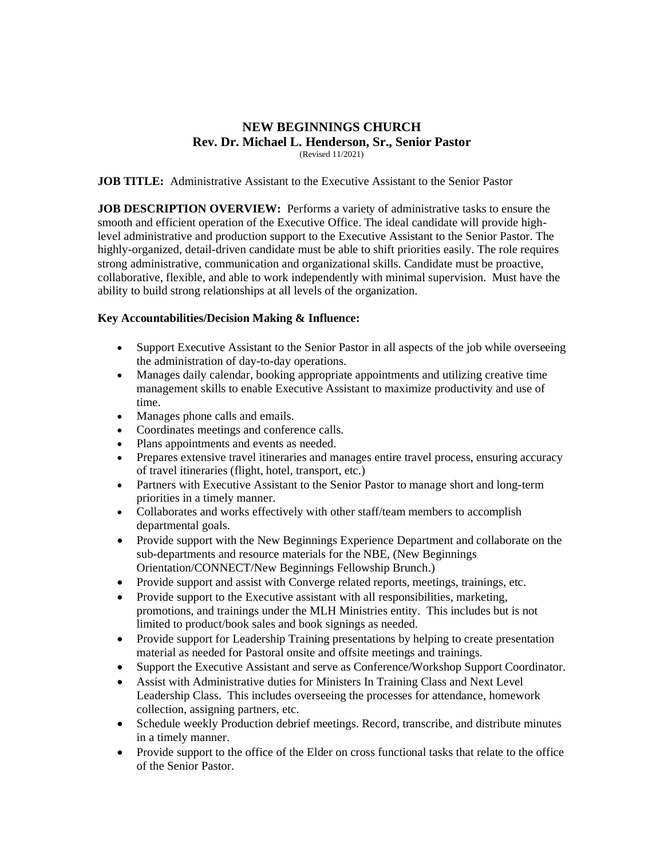## **NEW BEGINNINGS CHURCH Rev. Dr. Michael L. Henderson, Sr., Senior Pastor** (Revised 11/2021)

## **JOB TITLE:** Administrative Assistant to the Executive Assistant to the Senior Pastor

**JOB DESCRIPTION OVERVIEW:** Performs a variety of administrative tasks to ensure the smooth and efficient operation of the Executive Office. The ideal candidate will provide highlevel administrative and production support to the Executive Assistant to the Senior Pastor. The highly-organized, detail-driven candidate must be able to shift priorities easily. The role requires strong administrative, communication and organizational skills. Candidate must be proactive, collaborative, flexible, and able to work independently with minimal supervision. Must have the ability to build strong relationships at all levels of the organization.

## **Key Accountabilities/Decision Making & Influence:**

- Support Executive Assistant to the Senior Pastor in all aspects of the job while overseeing the administration of day-to-day operations.
- Manages daily calendar, booking appropriate appointments and utilizing creative time management skills to enable Executive Assistant to maximize productivity and use of time.
- Manages phone calls and emails.
- Coordinates meetings and conference calls.
- Plans appointments and events as needed.
- Prepares extensive travel itineraries and manages entire travel process, ensuring accuracy of travel itineraries (flight, hotel, transport, etc.)
- Partners with Executive Assistant to the Senior Pastor to manage short and long-term priorities in a timely manner.
- Collaborates and works effectively with other staff/team members to accomplish departmental goals.
- Provide support with the New Beginnings Experience Department and collaborate on the sub-departments and resource materials for the NBE, (New Beginnings Orientation/CONNECT/New Beginnings Fellowship Brunch.)
- Provide support and assist with Converge related reports, meetings, trainings, etc.
- Provide support to the Executive assistant with all responsibilities, marketing, promotions, and trainings under the MLH Ministries entity. This includes but is not limited to product/book sales and book signings as needed.
- Provide support for Leadership Training presentations by helping to create presentation material as needed for Pastoral onsite and offsite meetings and trainings.
- Support the Executive Assistant and serve as Conference/Workshop Support Coordinator.
- Assist with Administrative duties for Ministers In Training Class and Next Level Leadership Class. This includes overseeing the processes for attendance, homework collection, assigning partners, etc.
- Schedule weekly Production debrief meetings. Record, transcribe, and distribute minutes in a timely manner.
- Provide support to the office of the Elder on cross functional tasks that relate to the office of the Senior Pastor.